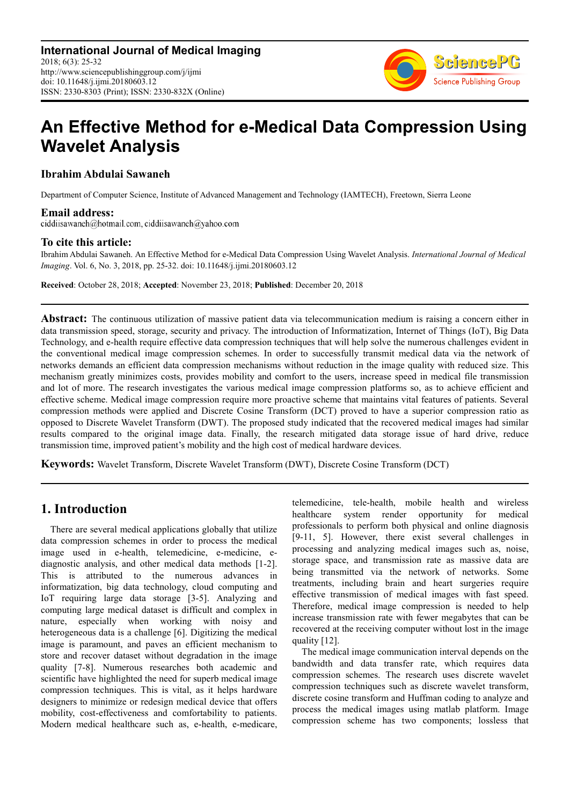

# **An Effective Method for e-Medical Data Compression Using Wavelet Analysis**

### **Ibrahim Abdulai Sawaneh**

Department of Computer Science, Institute of Advanced Management and Technology (IAMTECH), Freetown, Sierra Leone

**Email address:**<br>ciddiisawaneh@hotmail.com, ciddiisawaneh@yahoo.com

### **To cite this article:**

Ibrahim Abdulai Sawaneh. An Effective Method for e-Medical Data Compression Using Wavelet Analysis. *International Journal of Medical Imaging*. Vol. 6, No. 3, 2018, pp. 25-32. doi: 10.11648/j.ijmi.20180603.12

**Received**: October 28, 2018; **Accepted**: November 23, 2018; **Published**: December 20, 2018

**Abstract:** The continuous utilization of massive patient data via telecommunication medium is raising a concern either in data transmission speed, storage, security and privacy. The introduction of Informatization, Internet of Things (IoT), Big Data Technology, and e-health require effective data compression techniques that will help solve the numerous challenges evident in the conventional medical image compression schemes. In order to successfully transmit medical data via the network of networks demands an efficient data compression mechanisms without reduction in the image quality with reduced size. This mechanism greatly minimizes costs, provides mobility and comfort to the users, increase speed in medical file transmission and lot of more. The research investigates the various medical image compression platforms so, as to achieve efficient and effective scheme. Medical image compression require more proactive scheme that maintains vital features of patients. Several compression methods were applied and Discrete Cosine Transform (DCT) proved to have a superior compression ratio as opposed to Discrete Wavelet Transform (DWT). The proposed study indicated that the recovered medical images had similar results compared to the original image data. Finally, the research mitigated data storage issue of hard drive, reduce transmission time, improved patient's mobility and the high cost of medical hardware devices.

**Keywords:** Wavelet Transform, Discrete Wavelet Transform (DWT), Discrete Cosine Transform (DCT)

## **1. Introduction**

There are several medical applications globally that utilize data compression schemes in order to process the medical image used in e-health, telemedicine, e-medicine, ediagnostic analysis, and other medical data methods [1-2]. This is attributed to the numerous advances in informatization, big data technology, cloud computing and IoT requiring large data storage [3-5]. Analyzing and computing large medical dataset is difficult and complex in nature, especially when working with noisy and heterogeneous data is a challenge [6]. Digitizing the medical image is paramount, and paves an efficient mechanism to store and recover dataset without degradation in the image quality [7-8]. Numerous researches both academic and scientific have highlighted the need for superb medical image compression techniques. This is vital, as it helps hardware designers to minimize or redesign medical device that offers mobility, cost-effectiveness and comfortability to patients. Modern medical healthcare such as, e-health, e-medicare, telemedicine, tele-health, mobile health and wireless healthcare system render opportunity for medical professionals to perform both physical and online diagnosis [9-11, 5]. However, there exist several challenges in processing and analyzing medical images such as, noise, storage space, and transmission rate as massive data are being transmitted via the network of networks. Some treatments, including brain and heart surgeries require effective transmission of medical images with fast speed. Therefore, medical image compression is needed to help increase transmission rate with fewer megabytes that can be recovered at the receiving computer without lost in the image quality [12].

The medical image communication interval depends on the bandwidth and data transfer rate, which requires data compression schemes. The research uses discrete wavelet compression techniques such as discrete wavelet transform, discrete cosine transform and Huffman coding to analyze and process the medical images using matlab platform. Image compression scheme has two components; lossless that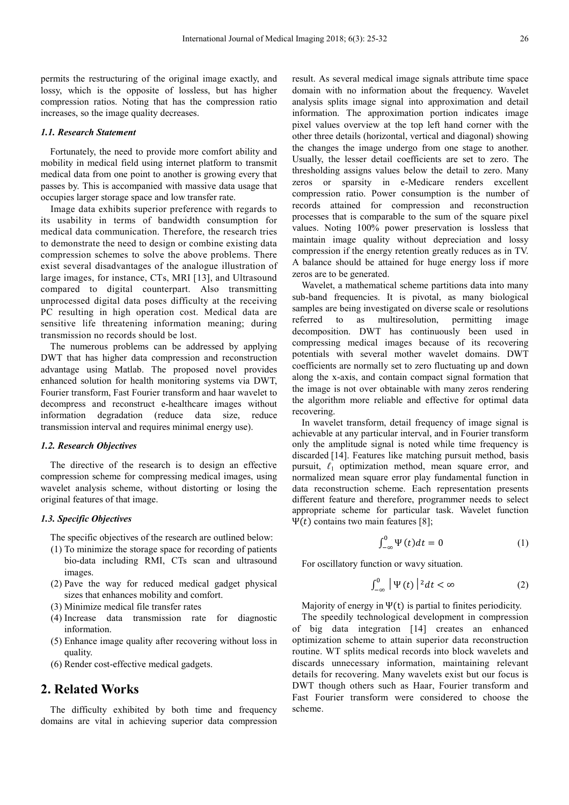permits the restructuring of the original image exactly, and lossy, which is the opposite of lossless, but has higher compression ratios. Noting that has the compression ratio increases, so the image quality decreases.

#### *1.1. Research Statement*

Fortunately, the need to provide more comfort ability and mobility in medical field using internet platform to transmit medical data from one point to another is growing every that passes by. This is accompanied with massive data usage that occupies larger storage space and low transfer rate.

Image data exhibits superior preference with regards to its usability in terms of bandwidth consumption for medical data communication. Therefore, the research tries to demonstrate the need to design or combine existing data compression schemes to solve the above problems. There exist several disadvantages of the analogue illustration of large images, for instance, CTs, MRI [13], and Ultrasound compared to digital counterpart. Also transmitting unprocessed digital data poses difficulty at the receiving PC resulting in high operation cost. Medical data are sensitive life threatening information meaning; during transmission no records should be lost.

The numerous problems can be addressed by applying DWT that has higher data compression and reconstruction advantage using Matlab. The proposed novel provides enhanced solution for health monitoring systems via DWT, Fourier transform, Fast Fourier transform and haar wavelet to decompress and reconstruct e-healthcare images without information degradation (reduce data size, reduce transmission interval and requires minimal energy use).

#### *1.2. Research Objectives*

The directive of the research is to design an effective compression scheme for compressing medical images, using wavelet analysis scheme, without distorting or losing the original features of that image.

#### *1.3. Specific Objectives*

The specific objectives of the research are outlined below:

- (1) To minimize the storage space for recording of patients bio-data including RMI, CTs scan and ultrasound images.
- (2) Pave the way for reduced medical gadget physical sizes that enhances mobility and comfort.
- (3) Minimize medical file transfer rates
- (4) Increase data transmission rate for diagnostic information.
- (5) Enhance image quality after recovering without loss in quality.
- (6) Render cost-effective medical gadgets.

### **2. Related Works**

The difficulty exhibited by both time and frequency domains are vital in achieving superior data compression result. As several medical image signals attribute time space domain with no information about the frequency. Wavelet analysis splits image signal into approximation and detail information. The approximation portion indicates image pixel values overview at the top left hand corner with the other three details (horizontal, vertical and diagonal) showing the changes the image undergo from one stage to another. Usually, the lesser detail coefficients are set to zero. The thresholding assigns values below the detail to zero. Many zeros or sparsity in e-Medicare renders excellent compression ratio. Power consumption is the number of records attained for compression and reconstruction processes that is comparable to the sum of the square pixel values. Noting 100% power preservation is lossless that maintain image quality without depreciation and lossy compression if the energy retention greatly reduces as in TV. A balance should be attained for huge energy loss if more zeros are to be generated.

Wavelet, a mathematical scheme partitions data into many sub-band frequencies. It is pivotal, as many biological samples are being investigated on diverse scale or resolutions referred to as multiresolution, permitting image decomposition. DWT has continuously been used in compressing medical images because of its recovering potentials with several mother wavelet domains. DWT coefficients are normally set to zero fluctuating up and down along the x-axis, and contain compact signal formation that the image is not over obtainable with many zeros rendering the algorithm more reliable and effective for optimal data recovering.

In wavelet transform, detail frequency of image signal is achievable at any particular interval, and in Fourier transform only the amplitude signal is noted while time frequency is discarded [14]. Features like matching pursuit method, basis pursuit, *ℓ*1 optimization method, mean square error, and normalized mean square error play fundamental function in data reconstruction scheme. Each representation presents different feature and therefore, programmer needs to select appropriate scheme for particular task. Wavelet function Ψ(*t*) contains two main features [8];

$$
\int_{-\infty}^{0} \Psi(t) dt = 0 \tag{1}
$$

For oscillatory function or wavy situation.

$$
\int_{-\infty}^{0} |\Psi(t)|^2 dt < \infty \tag{2}
$$

Majority of energy in  $\Psi(t)$  is partial to finites periodicity.

The speedily technological development in compression of big data integration [14] creates an enhanced optimization scheme to attain superior data reconstruction routine. WT splits medical records into block wavelets and discards unnecessary information, maintaining relevant details for recovering. Many wavelets exist but our focus is DWT though others such as Haar, Fourier transform and Fast Fourier transform were considered to choose the scheme.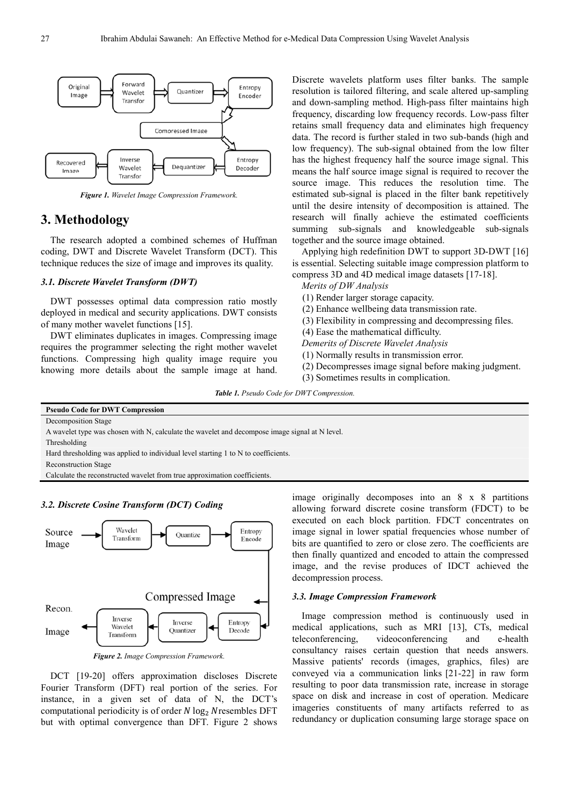

*Figure 1. Wavelet Image Compression Framework.* 

### **3. Methodology**

The research adopted a combined schemes of Huffman coding, DWT and Discrete Wavelet Transform (DCT). This technique reduces the size of image and improves its quality.

#### *3.1. Discrete Wavelet Transform (DWT)*

DWT possesses optimal data compression ratio mostly deployed in medical and security applications. DWT consists of many mother wavelet functions [15].

DWT eliminates duplicates in images. Compressing image requires the programmer selecting the right mother wavelet functions. Compressing high quality image require you knowing more details about the sample image at hand.

Discrete wavelets platform uses filter banks. The sample resolution is tailored filtering, and scale altered up-sampling and down-sampling method. High-pass filter maintains high frequency, discarding low frequency records. Low-pass filter retains small frequency data and eliminates high frequency data. The record is further staled in two sub-bands (high and low frequency). The sub-signal obtained from the low filter has the highest frequency half the source image signal. This means the half source image signal is required to recover the source image. This reduces the resolution time. The estimated sub-signal is placed in the filter bank repetitively until the desire intensity of decomposition is attained. The research will finally achieve the estimated coefficients summing sub-signals and knowledgeable sub-signals together and the source image obtained.

Applying high redefinition DWT to support 3D-DWT [16] is essential. Selecting suitable image compression platform to compress 3D and 4D medical image datasets [17-18].

*Merits of DW Analysis* 

(1) Render larger storage capacity.

- (2) Enhance wellbeing data transmission rate.
- (3) Flexibility in compressing and decompressing files.

(4) Ease the mathematical difficulty.

*Demerits of Discrete Wavelet Analysis* 

(1) Normally results in transmission error.

- (2) Decompresses image signal before making judgment.
- (3) Sometimes results in complication.

*Table 1. Pseudo Code for DWT Compression.* 

| <b>Pseudo Code for DWT Compression</b>                                                         |
|------------------------------------------------------------------------------------------------|
| Decomposition Stage                                                                            |
| A wavelet type was chosen with N, calculate the wavelet and decompose image signal at N level. |
| Thresholding                                                                                   |
| Hard thresholding was applied to individual level starting 1 to N to coefficients.             |
| <b>Reconstruction Stage</b>                                                                    |
| Calculate the reconstructed wavelet from true approximation coefficients.                      |
|                                                                                                |
| image originally decomposes into an 8 x 8 partitions                                           |





*Figure 2. Image Compression Framework.* 

DCT [19-20] offers approximation discloses Discrete Fourier Transform (DFT) real portion of the series. For instance, in a given set of data of N, the DCT's computational periodicity is of order  $N \log_2 N$  resembles DFT but with optimal convergence than DFT. Figure 2 shows image originally decomposes into an 8 x 8 partitions allowing forward discrete cosine transform (FDCT) to be executed on each block partition. FDCT concentrates on image signal in lower spatial frequencies whose number of bits are quantified to zero or close zero. The coefficients are then finally quantized and encoded to attain the compressed image, and the revise produces of IDCT achieved the decompression process.

#### *3.3. Image Compression Framework*

Image compression method is continuously used in medical applications, such as MRI [13], CTs, medical teleconferencing, videoconferencing and e-health consultancy raises certain question that needs answers. Massive patients' records (images, graphics, files) are conveyed via a communication links [21-22] in raw form resulting to poor data transmission rate, increase in storage space on disk and increase in cost of operation. Medicare imageries constituents of many artifacts referred to as redundancy or duplication consuming large storage space on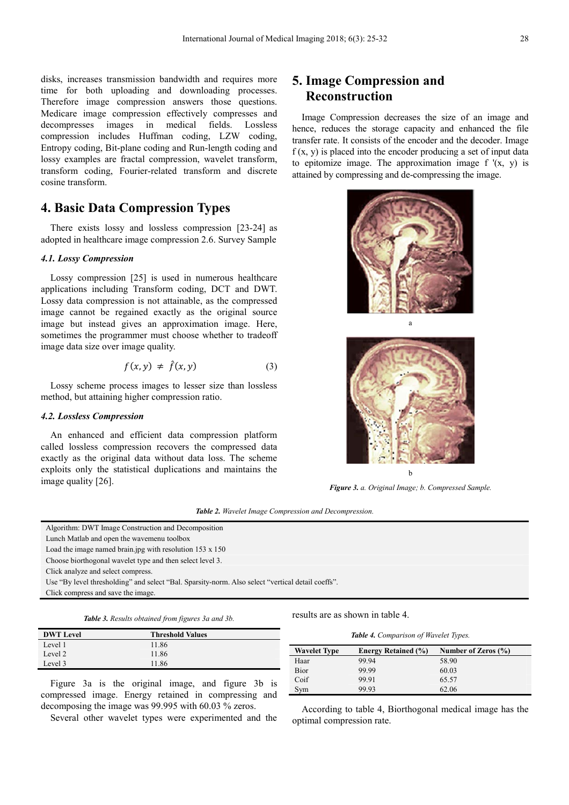disks, increases transmission bandwidth and requires more time for both uploading and downloading processes. Therefore image compression answers those questions. Medicare image compression effectively compresses and decompresses images in medical fields. Lossless compression includes Huffman coding, LZW coding, Entropy coding, Bit-plane coding and Run-length coding and lossy examples are fractal compression, wavelet transform, transform coding, Fourier-related transform and discrete cosine transform.

### **4. Basic Data Compression Types**

There exists lossy and lossless compression [23-24] as adopted in healthcare image compression 2.6. Survey Sample

#### *4.1. Lossy Compression*

Lossy compression [25] is used in numerous healthcare applications including Transform coding, DCT and DWT. Lossy data compression is not attainable, as the compressed image cannot be regained exactly as the original source image but instead gives an approximation image. Here, sometimes the programmer must choose whether to tradeoff image data size over image quality.

$$
f(x, y) \neq \hat{f}(x, y) \tag{3}
$$

Lossy scheme process images to lesser size than lossless method, but attaining higher compression ratio.

#### *4.2. Lossless Compression*

An enhanced and efficient data compression platform called lossless compression recovers the compressed data exactly as the original data without data loss. The scheme exploits only the statistical duplications and maintains the image quality [26].

## **5. Image Compression and Reconstruction**

Image Compression decreases the size of an image and hence, reduces the storage capacity and enhanced the file transfer rate. It consists of the encoder and the decoder. Image  $f(x, y)$  is placed into the encoder producing a set of input data to epitomize image. The approximation image  $f'(x, y)$  is attained by compressing and de-compressing the image.





*Figure 3. a. Original Image; b. Compressed Sample.* 

| <b>Table 2.</b> Wavelet Image Compression and Decompression. |  |  |  |  |  |  |  |  |
|--------------------------------------------------------------|--|--|--|--|--|--|--|--|
|--------------------------------------------------------------|--|--|--|--|--|--|--|--|

| Algorithm: DWT Image Construction and Decomposition                                               |
|---------------------------------------------------------------------------------------------------|
| Lunch Matlab and open the wavemenu toolbox                                                        |
| Load the image named brain jpg with resolution $153 \times 150$                                   |
| Choose biorthogonal wavelet type and then select level 3.                                         |
| Click analyze and select compress.                                                                |
| Use "By level thresholding" and select "Bal. Sparsity-norm. Also select "vertical detail coeffs". |
| Click compress and save the image.                                                                |
|                                                                                                   |

| Table 3. Results obtained from figures 3a and 3b. |  |  |  |  |  |  |
|---------------------------------------------------|--|--|--|--|--|--|
|---------------------------------------------------|--|--|--|--|--|--|

| <b>DWT</b> Level | <b>Threshold Values</b> |
|------------------|-------------------------|
| Level 1          | 11.86                   |
| Level 2          | 11.86                   |
| Level 3          | 11.86                   |
|                  |                         |

Figure 3a is the original image, and figure 3b is compressed image. Energy retained in compressing and decomposing the image was 99.995 with 60.03 % zeros.

Several other wavelet types were experimented and the

results are as shown in table 4.

| <b>Wavelet Type</b> | <b>Energy Retained (%)</b> | Number of Zeros $(\% )$ |
|---------------------|----------------------------|-------------------------|
| Haar                | 99.94                      | 58.90                   |
| Bior                | 99.99                      | 60.03                   |
| Coif                | 99.91                      | 65.57                   |
| Sym                 | 99.93                      | 62.06                   |

According to table 4, Biorthogonal medical image has the optimal compression rate.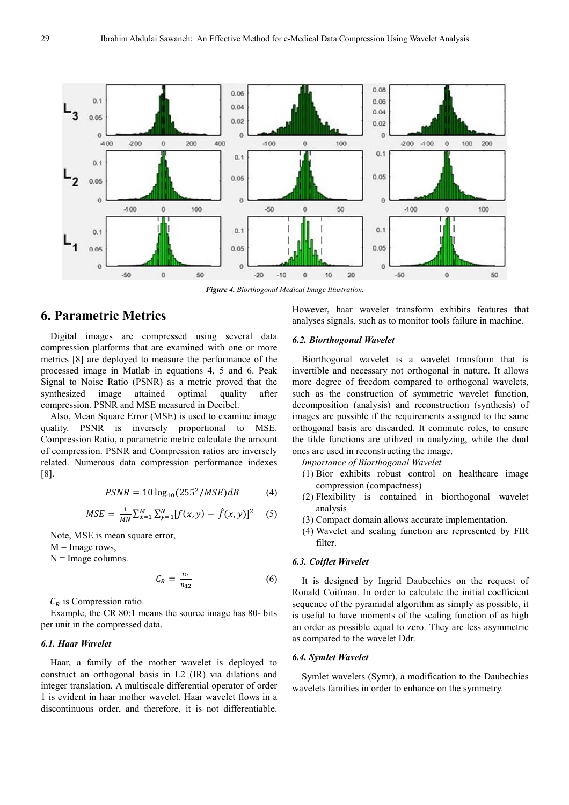

*Figure 4. Biorthogonal Medical Image Illustration.* 

### **6. Parametric Metrics**

Digital images are compressed using several data compression platforms that are examined with one or more metrics [8] are deployed to measure the performance of the processed image in Matlab in equations 4, 5 and 6. Peak Signal to Noise Ratio (PSNR) as a metric proved that the synthesized image attained optimal quality after compression. PSNR and MSE measured in Decibel.

Also, Mean Square Error (MSE) is used to examine image quality. PSNR is inversely proportional to MSE. Compression Ratio, a parametric metric calculate the amount of compression. PSNR and Compression ratios are inversely related. Numerous data compression performance indexes [8].

$$
PSNR = 10 \log_{10}(255^2 / MSE)dB \tag{4}
$$

$$
MSE = \frac{1}{MN} \sum_{x=1}^{M} \sum_{y=1}^{N} [f(x, y) - \hat{f}(x, y)]^{2} \quad (5)
$$

Note, MSE is mean square error,

 $M =$ Image rows,

 $N =$ Image columns.

$$
C_R = \frac{n_1}{n_{12}}\tag{6}
$$

 $C_R$  is Compression ratio.

Example, the CR 80:1 means the source image has 80- bits per unit in the compressed data.

#### *6.1. Haar Wavelet*

Haar, a family of the mother wavelet is deployed to construct an orthogonal basis in L2 (IR) via dilations and integer translation. A multiscale differential operator of order 1 is evident in haar mother wavelet. Haar wavelet flows in a discontinuous order, and therefore, it is not differentiable.

However, haar wavelet transform exhibits features that analyses signals, such as to monitor tools failure in machine.

#### *6.2. Biorthogonal Wavelet*

Biorthogonal wavelet is a wavelet transform that is invertible and necessary not orthogonal in nature. It allows more degree of freedom compared to orthogonal wavelets, such as the construction of symmetric wavelet function, decomposition (analysis) and reconstruction (synthesis) of images are possible if the requirements assigned to the same orthogonal basis are discarded. It commute roles, to ensure the tilde functions are utilized in analyzing, while the dual ones are used in reconstructing the image.

*Importance of Biorthogonal Wavelet* 

- (1) Bior exhibits robust control on healthcare image compression (compactness)
- (2) Flexibility is contained in biorthogonal wavelet analysis
- (3) Compact domain allows accurate implementation.
- (4) Wavelet and scaling function are represented by FIR filter.

#### *6.3. Coiflet Wavelet*

It is designed by Ingrid Daubechies on the request of Ronald Coifman. In order to calculate the initial coefficient sequence of the pyramidal algorithm as simply as possible, it is useful to have moments of the scaling function of as high an order as possible equal to zero. They are less asymmetric as compared to the wavelet Ddr.

#### *6.4. Symlet Wavelet*

Symlet wavelets (Symr), a modification to the Daubechies wavelets families in order to enhance on the symmetry.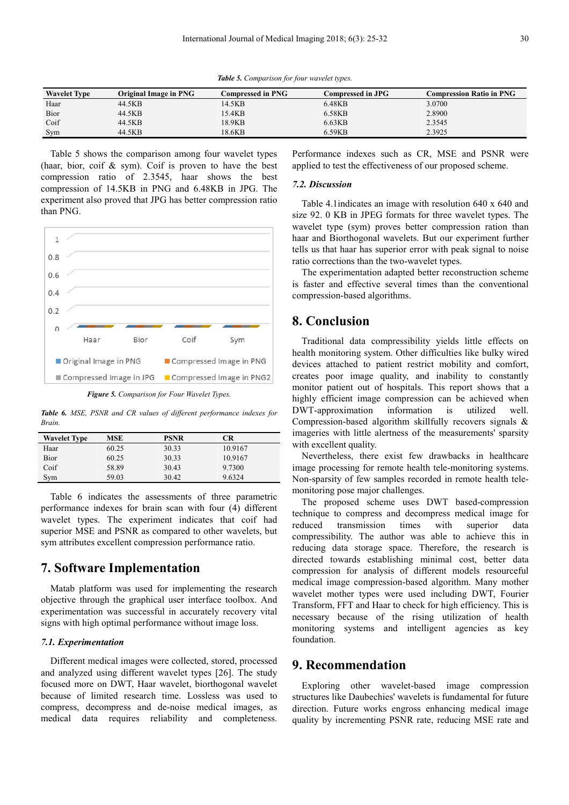*Table 5. Comparison for four wavelet types.* 

| <b>Wavelet Type</b> | Original Image in PNG | Compressed in PNG- | Compressed in JPG | <b>Compression Ratio in PNG</b> |
|---------------------|-----------------------|--------------------|-------------------|---------------------------------|
| Haar                | 44.5KB                | 14.5KB             | 6.48KB            | 3.0700                          |
| Bior                | 44.5KB                | 15.4KB             | 6.58KB            | 2.8900                          |
| Coif                | 44.5KB                | 18.9KB             | 6.63KB            | 2.3545                          |
| Sym                 | 44.5KB                | 18.6KB             | 6.59KB            | 2.3925                          |

Table 5 shows the comparison among four wavelet types (haar, bior, coif  $\&$  sym). Coif is proven to have the best compression ratio of 2.3545, haar shows the best compression of 14.5KB in PNG and 6.48KB in JPG. The experiment also proved that JPG has better compression ratio than PNG.



*Figure 5. Comparison for Four Wavelet Types.* 

*Table 6. MSE, PSNR and CR values of different performance indexes for Brain.* 

| <b>Wavelet Type</b> | MSE   | <b>PSNR</b> | CR.     |
|---------------------|-------|-------------|---------|
| Haar                | 60.25 | 30.33       | 10.9167 |
| Bior                | 60.25 | 30.33       | 10.9167 |
| Coif                | 58.89 | 30.43       | 9.7300  |
| Sym                 | 59.03 | 30.42       | 9.6324  |

Table 6 indicates the assessments of three parametric performance indexes for brain scan with four (4) different wavelet types. The experiment indicates that coif had superior MSE and PSNR as compared to other wavelets, but sym attributes excellent compression performance ratio.

### **7. Software Implementation**

Matab platform was used for implementing the research objective through the graphical user interface toolbox. And experimentation was successful in accurately recovery vital signs with high optimal performance without image loss.

#### *7.1. Experimentation*

Different medical images were collected, stored, processed and analyzed using different wavelet types [26]. The study focused more on DWT, Haar wavelet, biorthogonal wavelet because of limited research time. Lossless was used to compress, decompress and de-noise medical images, as medical data requires reliability and completeness.

Performance indexes such as CR, MSE and PSNR were applied to test the effectiveness of our proposed scheme.

#### *7.2. Discussion*

Table 4.1indicates an image with resolution 640 x 640 and size 92. 0 KB in JPEG formats for three wavelet types. The wavelet type (sym) proves better compression ration than haar and Biorthogonal wavelets. But our experiment further tells us that haar has superior error with peak signal to noise ratio corrections than the two-wavelet types.

The experimentation adapted better reconstruction scheme is faster and effective several times than the conventional compression-based algorithms.

### **8. Conclusion**

Traditional data compressibility yields little effects on health monitoring system. Other difficulties like bulky wired devices attached to patient restrict mobility and comfort, creates poor image quality, and inability to constantly monitor patient out of hospitals. This report shows that a highly efficient image compression can be achieved when DWT-approximation information is utilized well. Compression-based algorithm skillfully recovers signals & imageries with little alertness of the measurements' sparsity with excellent quality.

Nevertheless, there exist few drawbacks in healthcare image processing for remote health tele-monitoring systems. Non-sparsity of few samples recorded in remote health telemonitoring pose major challenges.

The proposed scheme uses DWT based-compression technique to compress and decompress medical image for reduced transmission times with superior data compressibility. The author was able to achieve this in reducing data storage space. Therefore, the research is directed towards establishing minimal cost, better data compression for analysis of different models resourceful medical image compression-based algorithm. Many mother wavelet mother types were used including DWT, Fourier Transform, FFT and Haar to check for high efficiency. This is necessary because of the rising utilization of health monitoring systems and intelligent agencies as key foundation.

### **9. Recommendation**

Exploring other wavelet-based image compression structures like Daubechies' wavelets is fundamental for future direction. Future works engross enhancing medical image quality by incrementing PSNR rate, reducing MSE rate and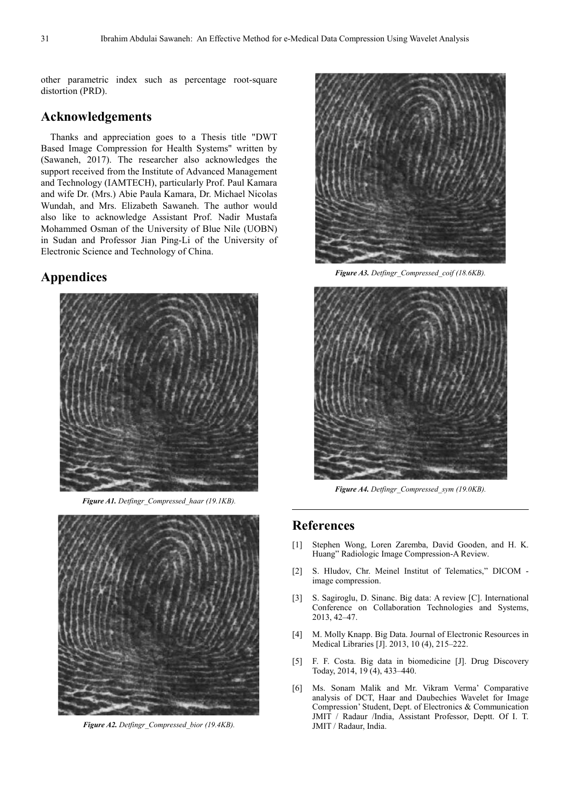other parametric index such as percentage root-square distortion (PRD).

### **Acknowledgements**

Thanks and appreciation goes to a Thesis title "DWT Based Image Compression for Health Systems" written by (Sawaneh, 2017). The researcher also acknowledges the support received from the Institute of Advanced Management and Technology (IAMTECH), particularly Prof. Paul Kamara and wife Dr. (Mrs.) Abie Paula Kamara, Dr. Michael Nicolas Wundah, and Mrs. Elizabeth Sawaneh. The author would also like to acknowledge Assistant Prof. Nadir Mustafa Mohammed Osman of the University of Blue Nile (UOBN) in Sudan and Professor Jian Ping-Li of the University of Electronic Science and Technology of China.

### **Appendices**



*Figure A1. Detfingr\_Compressed\_haar (19.1KB).* 



*Figure A2. Detfingr\_Compressed\_bior (19.4KB).* 



*Figure A3. Detfingr\_Compressed\_coif (18.6KB).* 



*Figure A4. Detfingr\_Compressed\_sym (19.0KB).* 

### **References**

- [1] Stephen Wong, Loren Zaremba, David Gooden, and H. K. Huang" Radiologic Image Compression-A Review.
- [2] S. Hludov, Chr. Meinel Institut of Telematics," DICOM image compression.
- [3] S. Sagiroglu, D. Sinanc. Big data: A review [C]. International Conference on Collaboration Technologies and Systems, 2013, 42–47.
- [4] M. Molly Knapp. Big Data. Journal of Electronic Resources in Medical Libraries [J]. 2013, 10 (4), 215–222.
- [5] F. F. Costa. Big data in biomedicine [J]. Drug Discovery Today, 2014, 19 (4), 433–440.
- [6] Ms. Sonam Malik and Mr. Vikram Verma' Comparative analysis of DCT, Haar and Daubechies Wavelet for Image Compression' Student, Dept. of Electronics & Communication JMIT / Radaur /India, Assistant Professor, Deptt. Of I. T. JMIT / Radaur, India.